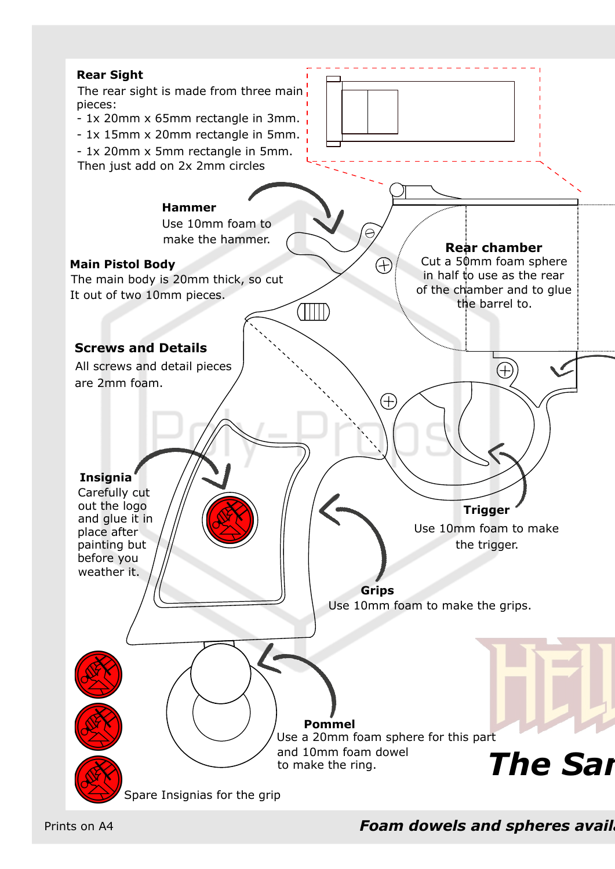

**Foam dowels and spheres avail**